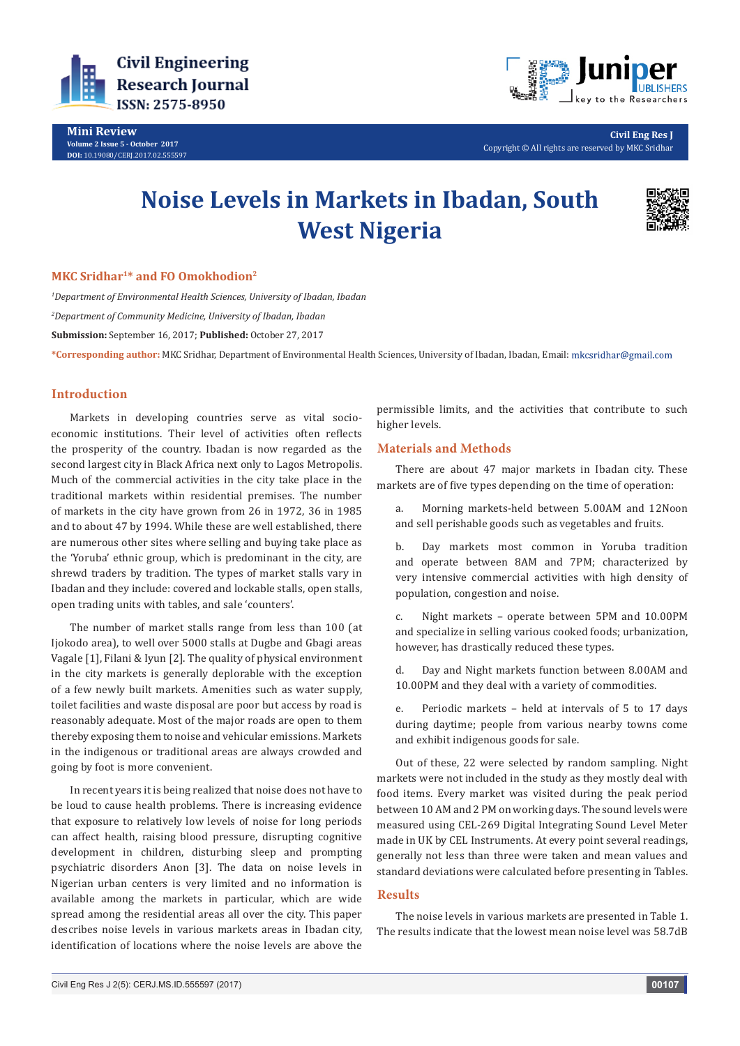

**Mini Review Volume 2 Issue 5 - October 2017 DOI:** [10.19080/CERJ.2017.02.555597](http://dx.doi.org/10.19080/CERJ.2017.02.555597
)



**Civil Eng Res J** Copyright © All rights are reserved by MKC Sridhar

# **Noise Levels in Markets in Ibadan, South West Nigeria**



### **MKC Sridhar1\* and FO Omokhodion2**

*1 Department of Environmental Health Sciences, University of Ibadan, Ibadan 2 Department of Community Medicine, University of Ibadan, Ibadan* **Submission:** September 16, 2017; **Published:** October 27, 2017

**\*Corresponding author:** MKC Sridhar, Department of Environmental Health Sciences, University of Ibadan, Ibadan, Email:

# **Introduction**

Markets in developing countries serve as vital socioeconomic institutions. Their level of activities often reflects the prosperity of the country. Ibadan is now regarded as the second largest city in Black Africa next only to Lagos Metropolis. Much of the commercial activities in the city take place in the traditional markets within residential premises. The number of markets in the city have grown from 26 in 1972, 36 in 1985 and to about 47 by 1994. While these are well established, there are numerous other sites where selling and buying take place as the 'Yoruba' ethnic group, which is predominant in the city, are shrewd traders by tradition. The types of market stalls vary in Ibadan and they include: covered and lockable stalls, open stalls, open trading units with tables, and sale 'counters'.

The number of market stalls range from less than 100 (at Ijokodo area), to well over 5000 stalls at Dugbe and Gbagi areas Vagale [1], Filani & Iyun [2]. The quality of physical environment in the city markets is generally deplorable with the exception of a few newly built markets. Amenities such as water supply, toilet facilities and waste disposal are poor but access by road is reasonably adequate. Most of the major roads are open to them thereby exposing them to noise and vehicular emissions. Markets in the indigenous or traditional areas are always crowded and going by foot is more convenient.

In recent years it is being realized that noise does not have to be loud to cause health problems. There is increasing evidence that exposure to relatively low levels of noise for long periods can affect health, raising blood pressure, disrupting cognitive development in children, disturbing sleep and prompting psychiatric disorders Anon [3]. The data on noise levels in Nigerian urban centers is very limited and no information is available among the markets in particular, which are wide spread among the residential areas all over the city. This paper describes noise levels in various markets areas in Ibadan city, identification of locations where the noise levels are above the

permissible limits, and the activities that contribute to such higher levels.

#### **Materials and Methods**

There are about 47 major markets in Ibadan city. These markets are of five types depending on the time of operation:

a. Morning markets-held between 5.00AM and 12Noon and sell perishable goods such as vegetables and fruits.

b. Day markets most common in Yoruba tradition and operate between 8AM and 7PM; characterized by very intensive commercial activities with high density of population, congestion and noise.

c. Night markets – operate between 5PM and 10.00PM and specialize in selling various cooked foods; urbanization, however, has drastically reduced these types.

d. Day and Night markets function between 8.00AM and 10.00PM and they deal with a variety of commodities.

e. Periodic markets – held at intervals of 5 to 17 days during daytime; people from various nearby towns come and exhibit indigenous goods for sale.

Out of these, 22 were selected by random sampling. Night markets were not included in the study as they mostly deal with food items. Every market was visited during the peak period between 10 AM and 2 PM on working days. The sound levels were measured using CEL-269 Digital Integrating Sound Level Meter made in UK by CEL Instruments. At every point several readings, generally not less than three were taken and mean values and standard deviations were calculated before presenting in Tables.

#### **Results**

The noise levels in various markets are presented in Table 1. The results indicate that the lowest mean noise level was 58.7dB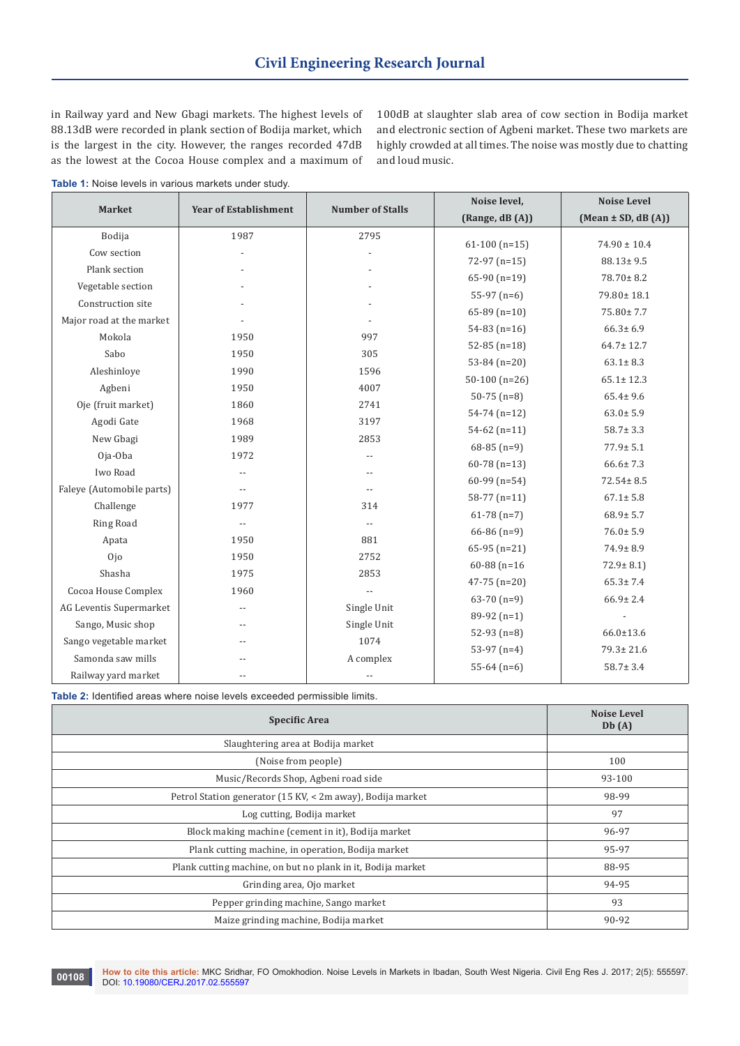in Railway yard and New Gbagi markets. The highest levels of 88.13dB were recorded in plank section of Bodija market, which is the largest in the city. However, the ranges recorded 47dB as the lowest at the Cocoa House complex and a maximum of 100dB at slaughter slab area of cow section in Bodija market and electronic section of Agbeni market. These two markets are highly crowded at all times. The noise was mostly due to chatting and loud music.

**Table 1:** Noise levels in various markets under study.

| <b>Market</b>             | <b>Year of Establishment</b> | <b>Number of Stalls</b> | Noise level,     | <b>Noise Level</b>     |
|---------------------------|------------------------------|-------------------------|------------------|------------------------|
|                           |                              |                         | (Range, dB (A))  | $(Mean \pm SD, dB(A))$ |
| Bodija                    | 1987                         | 2795                    |                  |                        |
| Cow section               |                              |                         | $61-100$ (n=15)  | $74.90 \pm 10.4$       |
| Plank section             |                              |                         | $72-97$ (n=15)   | $88.13 \pm 9.5$        |
| Vegetable section         |                              |                         | $65-90$ (n=19)   | $78.70 \pm 8.2$        |
| Construction site         |                              |                         | $55-97$ (n=6)    | 79.80±18.1             |
| Major road at the market  |                              |                         | $65-89$ (n=10)   | 75.80±7.7              |
| Mokola                    | 1950                         | 997                     | $54-83$ (n=16)   | $66.3 \pm 6.9$         |
| Sabo                      | 1950                         | 305                     | $52-85$ (n=18)   | $64.7 \pm 12.7$        |
| Aleshinloye               | 1990                         | 1596                    | $53-84$ (n=20)   | $63.1 \pm 8.3$         |
| Agbeni                    | 1950                         | 4007                    | $50-100$ (n=26)  | $65.1 \pm 12.3$        |
|                           |                              |                         | $50-75$ (n=8)    | $65.4 \pm 9.6$         |
| Oje (fruit market)        | 1860                         | 2741                    | $54-74$ (n=12)   | $63.0 \pm 5.9$         |
| Agodi Gate                | 1968                         | 3197                    | $54-62$ (n=11)   | $58.7 \pm 3.3$         |
| New Gbagi                 | 1989                         | 2853                    | $68-85$ (n=9)    | $77.9 \pm 5.1$         |
| Oja-Oba                   | 1972                         | $-$                     | $60-78$ (n=13)   | $66.6 \pm 7.3$         |
| Iwo Road                  | $-$                          | $-$                     | $60-99$ (n=54)   | $72.54 \pm 8.5$        |
| Faleye (Automobile parts) |                              | $-$                     | $58-77$ (n=11)   | $67.1 \pm 5.8$         |
| Challenge                 | 1977                         | 314                     | $61-78(n=7)$     | $68.9 \pm 5.7$         |
| Ring Road                 | $-$                          | $-$                     | $66-86$ (n=9)    | $76.0 \pm 5.9$         |
| Apata                     | 1950                         | 881                     | $65-95$ (n=21)   | $74.9 \pm 8.9$         |
| 0jo                       | 1950                         | 2752                    | $60-88$ (n=16)   | $72.9 \pm 8.1$ )       |
| Shasha                    | 1975                         | 2853                    |                  | $65.3 \pm 7.4$         |
| Cocoa House Complex       | 1960                         |                         | $47 - 75$ (n=20) |                        |
| AG Leventis Supermarket   |                              | Single Unit             | $63-70(n=9)$     | $66.9 \pm 2.4$         |
| Sango, Music shop         |                              | Single Unit             | $89-92(n=1)$     |                        |
| Sango vegetable market    |                              | 1074                    | $52-93$ (n=8)    | $66.0 \pm 13.6$        |
| Samonda saw mills         |                              | A complex               | 53-97 $(n=4)$    | $79.3 \pm 21.6$        |
| Railway yard market       | $-$                          | $-$                     | $55-64$ (n=6)    | $58.7 \pm 3.4$         |

**Table 2:** Identified areas where noise levels exceeded permissible limits.

| <b>Specific Area</b>                                        | <b>Noise Level</b><br>Db(A) |
|-------------------------------------------------------------|-----------------------------|
| Slaughtering area at Bodija market                          |                             |
| (Noise from people)                                         | 100                         |
| Music/Records Shop, Agbeni road side                        | 93-100                      |
| Petrol Station generator (15 KV, < 2m away), Bodija market  | 98-99                       |
| Log cutting, Bodija market                                  | 97                          |
| Block making machine (cement in it), Bodija market          | 96-97                       |
| Plank cutting machine, in operation, Bodija market          | 95-97                       |
| Plank cutting machine, on but no plank in it, Bodija market | 88-95                       |
| Grinding area, Ojo market                                   | 94-95                       |
| Pepper grinding machine, Sango market                       | 93                          |
| Maize grinding machine, Bodija market                       | 90-92                       |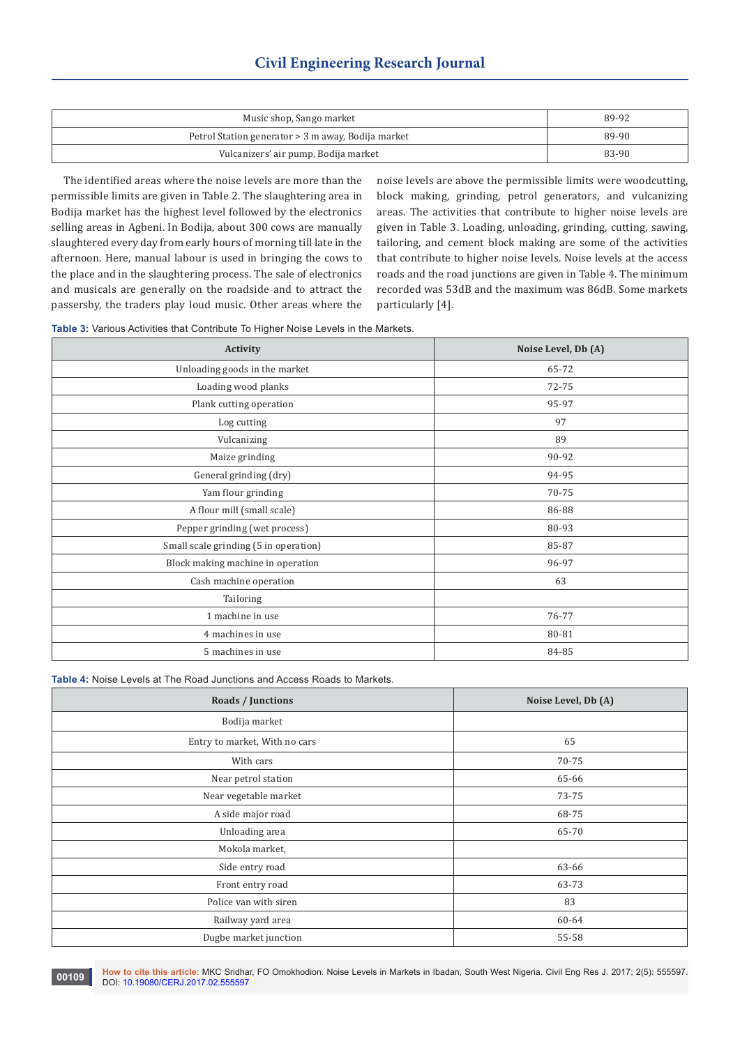| Music shop, Sango market                           | 89-92 |
|----------------------------------------------------|-------|
| Petrol Station generator > 3 m away, Bodija market | 89-90 |
| Vulcanizers' air pump, Bodija market               | 83-90 |

 The identified areas where the noise levels are more than the permissible limits are given in Table 2. The slaughtering area in Bodija market has the highest level followed by the electronics selling areas in Agbeni. In Bodija, about 300 cows are manually slaughtered every day from early hours of morning till late in the afternoon. Here, manual labour is used in bringing the cows to the place and in the slaughtering process. The sale of electronics and musicals are generally on the roadside and to attract the passersby, the traders play loud music. Other areas where the

noise levels are above the permissible limits were woodcutting, block making, grinding, petrol generators, and vulcanizing areas. The activities that contribute to higher noise levels are given in Table 3. Loading, unloading, grinding, cutting, sawing, tailoring, and cement block making are some of the activities that contribute to higher noise levels. Noise levels at the access roads and the road junctions are given in Table 4. The minimum recorded was 53dB and the maximum was 86dB. Some markets particularly [4].

**Table 3:** Various Activities that Contribute To Higher Noise Levels in the Markets.

| Activity                              | Noise Level, Db (A) |
|---------------------------------------|---------------------|
| Unloading goods in the market         | 65-72               |
| Loading wood planks                   | 72-75               |
| Plank cutting operation               | 95-97               |
| Log cutting                           | 97                  |
| Vulcanizing                           | 89                  |
| Maize grinding                        | 90-92               |
| General grinding (dry)                | 94-95               |
| Yam flour grinding                    | 70-75               |
| A flour mill (small scale)            | 86-88               |
| Pepper grinding (wet process)         | 80-93               |
| Small scale grinding (5 in operation) | 85-87               |
| Block making machine in operation     | 96-97               |
| Cash machine operation                | 63                  |
| Tailoring                             |                     |
| 1 machine in use                      | 76-77               |
| 4 machines in use                     | 80-81               |
| 5 machines in use                     | 84-85               |

**Table 4:** Noise Levels at The Road Junctions and Access Roads to Markets.

| Roads / Junctions             | Noise Level, Db (A) |
|-------------------------------|---------------------|
| Bodija market                 |                     |
| Entry to market, With no cars | 65                  |
| With cars                     | 70-75               |
| Near petrol station           | 65-66               |
| Near vegetable market         | 73-75               |
| A side major road             | 68-75               |
| Unloading area                | 65-70               |
| Mokola market,                |                     |
| Side entry road               | 63-66               |
| Front entry road              | 63-73               |
| Police van with siren         | 83                  |
| Railway yard area             | 60-64               |
| Dugbe market junction         | 55-58               |

**How to cite this article:** MKC Sridhar, FO Omokhodion. Noise Levels in Markets in Ibadan, South West Nigeria. Civil Eng Res J. 2017; 2(5): 555597. **00109 bow to cite this article:** MKC Sridha<br>DOI: [10.19080/CERJ.2017.02.555597](http://dx.doi.org/10.19080/CERJ.2017.02.555597
)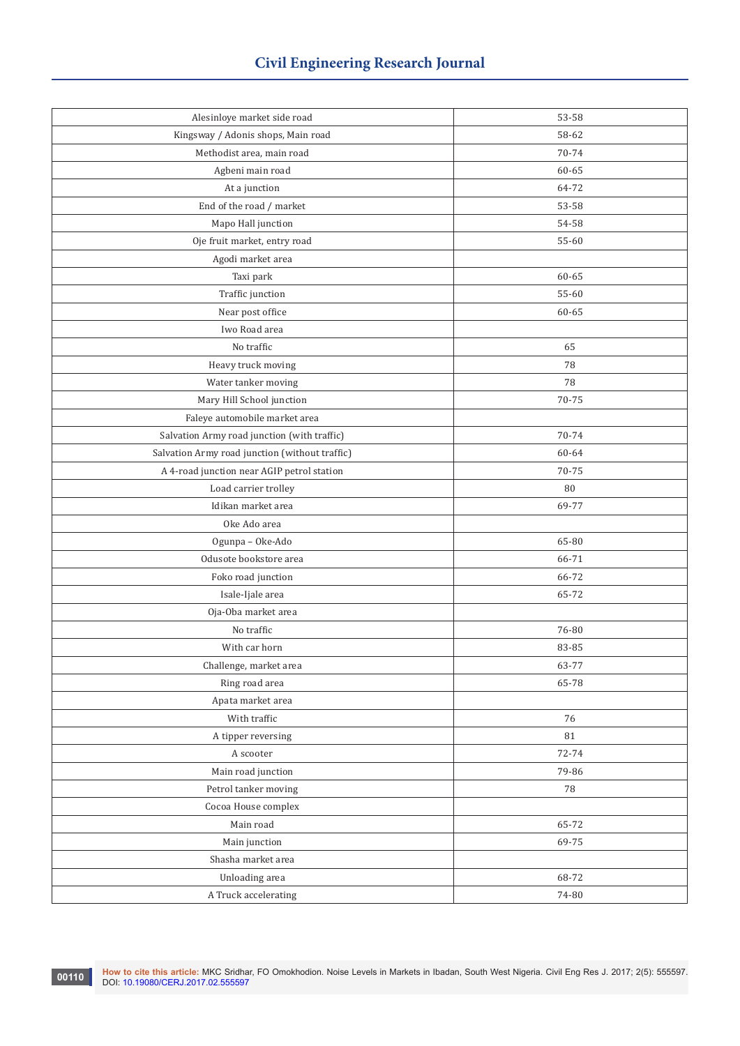| Alesinloye market side road                    | 53-58 |
|------------------------------------------------|-------|
| Kingsway / Adonis shops, Main road             | 58-62 |
| Methodist area, main road                      | 70-74 |
| Agbeni main road                               | 60-65 |
| At a junction                                  | 64-72 |
| End of the road / market                       | 53-58 |
| Mapo Hall junction                             | 54-58 |
| Oje fruit market, entry road                   | 55-60 |
| Agodi market area                              |       |
| Taxi park                                      | 60-65 |
| Traffic junction                               | 55-60 |
| Near post office                               | 60-65 |
| Iwo Road area                                  |       |
| No traffic                                     | 65    |
| Heavy truck moving                             | 78    |
| Water tanker moving                            | 78    |
| Mary Hill School junction                      | 70-75 |
| Faleye automobile market area                  |       |
| Salvation Army road junction (with traffic)    | 70-74 |
| Salvation Army road junction (without traffic) | 60-64 |
| A 4-road junction near AGIP petrol station     | 70-75 |
| Load carrier trolley                           | 80    |
| Idikan market area                             | 69-77 |
| Oke Ado area                                   |       |
| Ogunpa - Oke-Ado                               | 65-80 |
| Odusote bookstore area                         | 66-71 |
| Foko road junction                             | 66-72 |
| Isale-Ijale area                               | 65-72 |
| Oja-Oba market area                            |       |
| No traffic                                     | 76-80 |
| With car horn                                  | 83-85 |
| Challenge, market area                         | 63-77 |
| Ring road area                                 | 65-78 |
| Apata market area                              |       |
| With traffic                                   | 76    |
| A tipper reversing                             | 81    |
| A scooter                                      | 72-74 |
| Main road junction                             | 79-86 |
| Petrol tanker moving                           | 78    |
| Cocoa House complex                            |       |
| Main road                                      | 65-72 |
| Main junction                                  | 69-75 |
| Shasha market area                             |       |
| Unloading area                                 | 68-72 |
| A Truck accelerating                           | 74-80 |
|                                                |       |